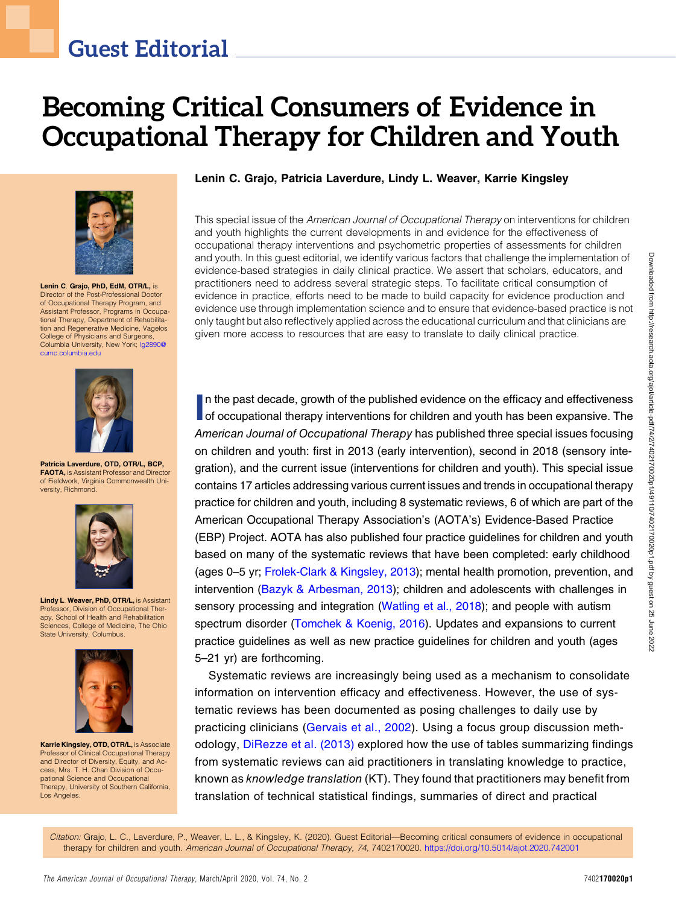# Becoming Critical Consumers of Evidence in Occupational Therapy for Children and Youth



Lenin C. Grajo, PhD, EdM, OTR/L, is Director of the Post-Professional Doctor of Occupational Therapy Program, and Assistant Professor, Programs in Occupational Therapy, Department of Rehabilitation and Regenerative Medicine, Vagelos College of Physicians and Surgeons, Columbia University, New York; [lg2890@](mailto:lg2890@cumc.columbia.edu) [cumc.columbia.edu](mailto:lg2890@cumc.columbia.edu)



Patricia Laverdure, OTD, OTR/L, BCP, FAOTA, is Assistant Professor and Director of Fieldwork, Virginia Commonwealth University, Richmond.



Lindy L. Weaver, PhD, OTR/L, is Assistant Professor, Division of Occupational Therapy, School of Health and Rehabilitation Sciences, College of Medicine, The Ohio State University, Columbus.



Karrie Kingsley, OTD, OTR/L, is Associate Professor of Clinical Occupational Therapy and Director of Diversity, Equity, and Ac-cess, Mrs. T. H. Chan Division of Occupational Science and Occupational Therapy, University of Southern California, Los Angeles.

#### Lenin C. Grajo, Patricia Laverdure, Lindy L. Weaver, Karrie Kingsley

This special issue of the American Journal of Occupational Therapy on interventions for children and youth highlights the current developments in and evidence for the effectiveness of occupational therapy interventions and psychometric properties of assessments for children and youth. In this guest editorial, we identify various factors that challenge the implementation of evidence-based strategies in daily clinical practice. We assert that scholars, educators, and practitioners need to address several strategic steps. To facilitate critical consumption of evidence in practice, efforts need to be made to build capacity for evidence production and evidence use through implementation science and to ensure that evidence-based practice is not only taught but also reflectively applied across the educational curriculum and that clinicians are given more access to resources that are easy to translate to daily clinical practice.

In the past decade, growth of the published evidence on the efficacy and effectiveness<br>of occupational therapy interventions for children and youth has been expansive. The n the past decade, growth of the published evidence on the efficacy and effectiveness American Journal of Occupational Therapy has published three special issues focusing on children and youth: first in 2013 (early intervention), second in 2018 (sensory integration), and the current issue (interventions for children and youth). This special issue contains 17 articles addressing various current issues and trends in occupational therapy practice for children and youth, including 8 systematic reviews, 6 of which are part of the American Occupational Therapy Association's (AOTA's) Evidence-Based Practice (EBP) Project. AOTA has also published four practice guidelines for children and youth based on many of the systematic reviews that have been completed: early childhood (ages 0–5 yr; [Frolek-Clark & Kingsley, 2013\)](#page-5-0); mental health promotion, prevention, and intervention [\(Bazyk & Arbesman, 2013\)](#page-5-1); children and adolescents with challenges in sensory processing and integration [\(Watling et al., 2018\)](#page-6-0); and people with autism spectrum disorder ([Tomchek & Koenig, 2016\)](#page-6-1). Updates and expansions to current practice guidelines as well as new practice guidelines for children and youth (ages 5–21 yr) are forthcoming.

Systematic reviews are increasingly being used as a mechanism to consolidate information on intervention efficacy and effectiveness. However, the use of systematic reviews has been documented as posing challenges to daily use by practicing clinicians [\(Gervais et al., 2002](#page-5-2)). Using a focus group discussion methodology, [DiRezze et al. \(2013\)](#page-5-3) explored how the use of tables summarizing findings from systematic reviews can aid practitioners in translating knowledge to practice, known as knowledge translation (KT). They found that practitioners may benefit from translation of technical statistical findings, summaries of direct and practical

Citation: Grajo, L. C., Laverdure, P., Weaver, L. L., & Kingsley, K. (2020). Guest Editorial—Becoming critical consumers of evidence in occupational therapy for children and youth. American Journal of Occupational Therapy, 74, 7402170020. <https://doi.org/10.5014/ajot.2020.742001>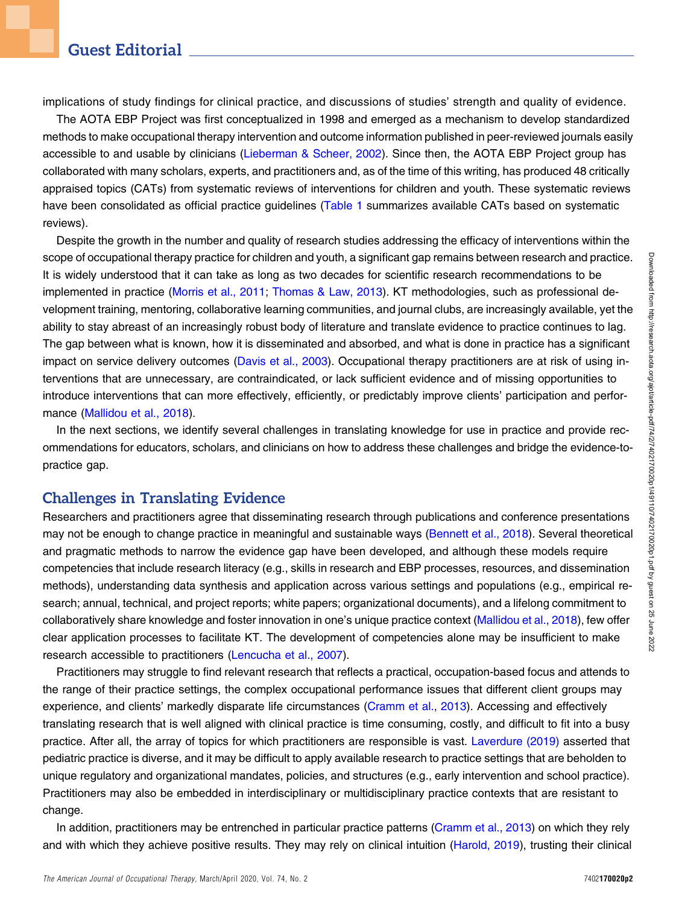implications of study findings for clinical practice, and discussions of studies' strength and quality of evidence.

The AOTA EBP Project was first conceptualized in 1998 and emerged as a mechanism to develop standardized methods to make occupational therapy intervention and outcome information published in peer-reviewed journals easily accessible to and usable by clinicians ([Lieberman & Scheer, 2002](#page-5-4)). Since then, the AOTA EBP Project group has collaborated with many scholars, experts, and practitioners and, as of the time of this writing, has produced 48 critically appraised topics (CATs) from systematic reviews of interventions for children and youth. These systematic reviews have been consolidated as official practice quidelines [\(Table 1](#page-2-0) summarizes available CATs based on systematic reviews).

Despite the growth in the number and quality of research studies addressing the efficacy of interventions within the scope of occupational therapy practice for children and youth, a significant gap remains between research and practice. It is widely understood that it can take as long as two decades for scientific research recommendations to be implemented in practice [\(Morris et al., 2011;](#page-5-5) [Thomas & Law, 2013](#page-6-2)). KT methodologies, such as professional development training, mentoring, collaborative learning communities, and journal clubs, are increasingly available, yet the ability to stay abreast of an increasingly robust body of literature and translate evidence to practice continues to lag. The gap between what is known, how it is disseminated and absorbed, and what is done in practice has a significant impact on service delivery outcomes [\(Davis et al., 2003\)](#page-5-6). Occupational therapy practitioners are at risk of using interventions that are unnecessary, are contraindicated, or lack sufficient evidence and of missing opportunities to introduce interventions that can more effectively, efficiently, or predictably improve clients' participation and performance [\(Mallidou et al., 2018](#page-5-7)).

In the next sections, we identify several challenges in translating knowledge for use in practice and provide recommendations for educators, scholars, and clinicians on how to address these challenges and bridge the evidence-topractice gap.

#### Challenges in Translating Evidence

Researchers and practitioners agree that disseminating research through publications and conference presentations may not be enough to change practice in meaningful and sustainable ways [\(Bennett et al., 2018](#page-5-8)). Several theoretical and pragmatic methods to narrow the evidence gap have been developed, and although these models require competencies that include research literacy (e.g., skills in research and EBP processes, resources, and dissemination methods), understanding data synthesis and application across various settings and populations (e.g., empirical research; annual, technical, and project reports; white papers; organizational documents), and a lifelong commitment to collaboratively share knowledge and foster innovation in one's unique practice context ([Mallidou et al., 2018\)](#page-5-7), few offer clear application processes to facilitate KT. The development of competencies alone may be insufficient to make research accessible to practitioners [\(Lencucha et al., 2007\)](#page-5-9).

Practitioners may struggle to find relevant research that reflects a practical, occupation-based focus and attends to the range of their practice settings, the complex occupational performance issues that different client groups may experience, and clients' markedly disparate life circumstances [\(Cramm et al., 2013\)](#page-5-10). Accessing and effectively translating research that is well aligned with clinical practice is time consuming, costly, and difficult to fit into a busy practice. After all, the array of topics for which practitioners are responsible is vast. [Laverdure \(2019\)](#page-5-11) asserted that pediatric practice is diverse, and it may be difficult to apply available research to practice settings that are beholden to unique regulatory and organizational mandates, policies, and structures (e.g., early intervention and school practice). Practitioners may also be embedded in interdisciplinary or multidisciplinary practice contexts that are resistant to change.

In addition, practitioners may be entrenched in particular practice patterns [\(Cramm et al., 2013](#page-5-10)) on which they rely and with which they achieve positive results. They may rely on clinical intuition ([Harold, 2019\)](#page-5-12), trusting their clinical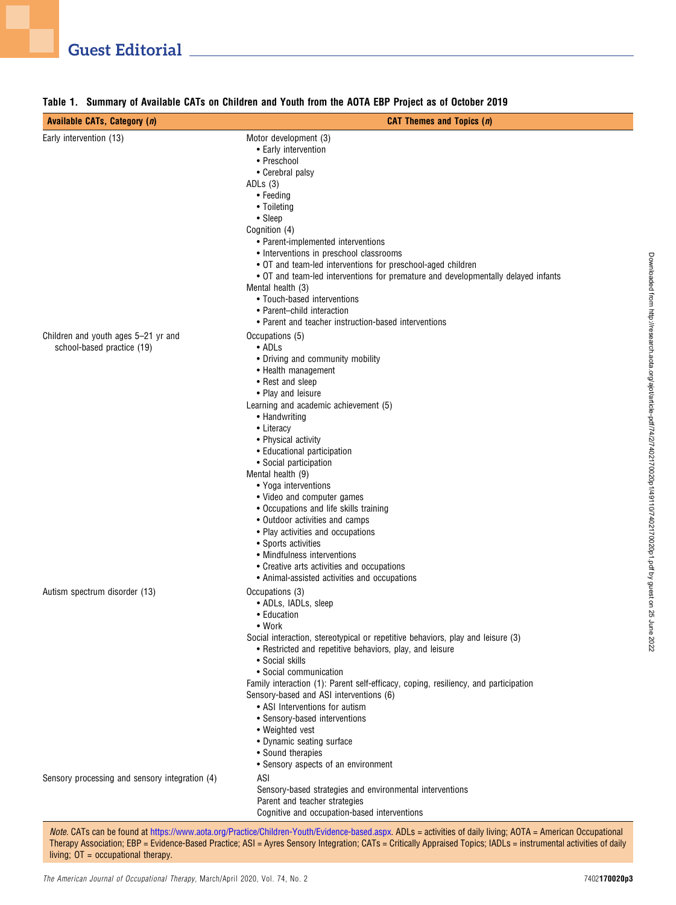| <b>Available CATs, Category (n)</b>                                             | <b>CAT Themes and Topics (n)</b>                                                                                                                                                                                                                                                                                                                                                                                                                                                                                                                                                                                                       |
|---------------------------------------------------------------------------------|----------------------------------------------------------------------------------------------------------------------------------------------------------------------------------------------------------------------------------------------------------------------------------------------------------------------------------------------------------------------------------------------------------------------------------------------------------------------------------------------------------------------------------------------------------------------------------------------------------------------------------------|
| Early intervention (13)                                                         | Motor development (3)<br>• Early intervention<br>• Preschool<br>• Cerebral palsy<br>ADLs $(3)$<br>• Feeding<br>• Toileting<br>• Sleep<br>Cognition (4)<br>• Parent-implemented interventions<br>• Interventions in preschool classrooms<br>• OT and team-led interventions for preschool-aged children<br>• OT and team-led interventions for premature and developmentally delayed infants<br>Mental health (3)<br>• Touch-based interventions<br>• Parent-child interaction<br>• Parent and teacher instruction-based interventions                                                                                                  |
| Children and youth ages 5-21 yr and<br>school-based practice (19)               | Occupations (5)<br>• ADLs<br>• Driving and community mobility<br>• Health management<br>• Rest and sleep<br>• Play and leisure<br>Learning and academic achievement (5)<br>• Handwriting<br>• Literacy<br>• Physical activity<br>• Educational participation<br>• Social participation<br>Mental health (9)<br>• Yoga interventions<br>• Video and computer games<br>• Occupations and life skills training<br>• Outdoor activities and camps<br>• Play activities and occupations<br>• Sports activities<br>• Mindfulness interventions<br>• Creative arts activities and occupations<br>• Animal-assisted activities and occupations |
| Autism spectrum disorder (13)<br>Sensory processing and sensory integration (4) | Occupations (3)<br>• ADLs, IADLs, sleep<br>• Education<br>$\bullet$ Work<br>Social interaction, stereotypical or repetitive behaviors, play and leisure (3)<br>• Restricted and repetitive behaviors, play, and leisure<br>• Social skills<br>• Social communication<br>Family interaction (1): Parent self-efficacy, coping, resiliency, and participation<br>Sensory-based and ASI interventions (6)<br>• ASI Interventions for autism<br>• Sensory-based interventions<br>• Weighted vest<br>• Dynamic seating surface<br>• Sound therapies<br>• Sensory aspects of an environment<br>ASI                                           |
|                                                                                 | Sensory-based strategies and environmental interventions<br>Parent and teacher strategies<br>Cognitive and occupation-based interventions                                                                                                                                                                                                                                                                                                                                                                                                                                                                                              |

#### <span id="page-2-0"></span>Table 1. Summary of Available CATs on Children and Youth from the AOTA EBP Project as of October 2019

Note. CATs can be found at [https://www.aota.org/Practice/Children-Youth/Evidence-based.aspx.](https://www.aota.org/Practice/Children-Youth/Evidence-based.aspx) ADLs = activities of daily living; AOTA = American Occupational Therapy Association; EBP = Evidence-Based Practice; ASI = Ayres Sensory Integration; CATs = Critically Appraised Topics; IADLs = instrumental activities of daily living; OT = occupational therapy.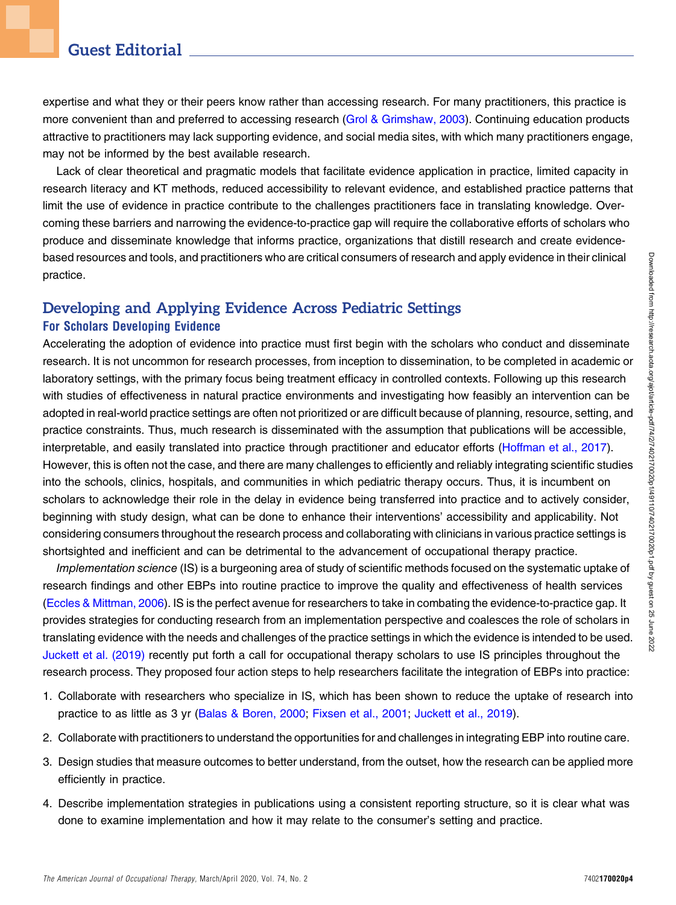expertise and what they or their peers know rather than accessing research. For many practitioners, this practice is more convenient than and preferred to accessing research ([Grol & Grimshaw, 2003\)](#page-5-13). Continuing education products attractive to practitioners may lack supporting evidence, and social media sites, with which many practitioners engage, may not be informed by the best available research.

Lack of clear theoretical and pragmatic models that facilitate evidence application in practice, limited capacity in research literacy and KT methods, reduced accessibility to relevant evidence, and established practice patterns that limit the use of evidence in practice contribute to the challenges practitioners face in translating knowledge. Overcoming these barriers and narrowing the evidence-to-practice gap will require the collaborative efforts of scholars who produce and disseminate knowledge that informs practice, organizations that distill research and create evidencebased resources and tools, and practitioners who are critical consumers of research and apply evidence in their clinical practice.

### Developing and Applying Evidence Across Pediatric Settings For Scholars Developing Evidence

Accelerating the adoption of evidence into practice must first begin with the scholars who conduct and disseminate research. It is not uncommon for research processes, from inception to dissemination, to be completed in academic or laboratory settings, with the primary focus being treatment efficacy in controlled contexts. Following up this research with studies of effectiveness in natural practice environments and investigating how feasibly an intervention can be adopted in real-world practice settings are often not prioritized or are difficult because of planning, resource, setting, and practice constraints. Thus, much research is disseminated with the assumption that publications will be accessible, interpretable, and easily translated into practice through practitioner and educator efforts ([Hoffman et al., 2017](#page-5-14)). However, this is often not the case, and there are many challenges to efficiently and reliably integrating scientific studies into the schools, clinics, hospitals, and communities in which pediatric therapy occurs. Thus, it is incumbent on scholars to acknowledge their role in the delay in evidence being transferred into practice and to actively consider, beginning with study design, what can be done to enhance their interventions' accessibility and applicability. Not considering consumers throughout the research process and collaborating with clinicians in various practice settings is shortsighted and inefficient and can be detrimental to the advancement of occupational therapy practice.

Implementation science (IS) is a burgeoning area of study of scientific methods focused on the systematic uptake of research findings and other EBPs into routine practice to improve the quality and effectiveness of health services [\(Eccles & Mittman, 2006\)](#page-5-15). IS is the perfect avenue for researchers to take in combating the evidence-to-practice gap. It provides strategies for conducting research from an implementation perspective and coalesces the role of scholars in translating evidence with the needs and challenges of the practice settings in which the evidence is intended to be used. [Juckett et al. \(2019\)](#page-5-16) recently put forth a call for occupational therapy scholars to use IS principles throughout the research process. They proposed four action steps to help researchers facilitate the integration of EBPs into practice:

- 1. Collaborate with researchers who specialize in IS, which has been shown to reduce the uptake of research into practice to as little as 3 yr ([Balas & Boren, 2000](#page-5-17); [Fixsen et al., 2001;](#page-5-18) [Juckett et al., 2019\)](#page-5-16).
- 2. Collaborate with practitioners to understand the opportunities for and challenges in integrating EBP into routine care.
- 3. Design studies that measure outcomes to better understand, from the outset, how the research can be applied more efficiently in practice.
- 4. Describe implementation strategies in publications using a consistent reporting structure, so it is clear what was done to examine implementation and how it may relate to the consumer's setting and practice.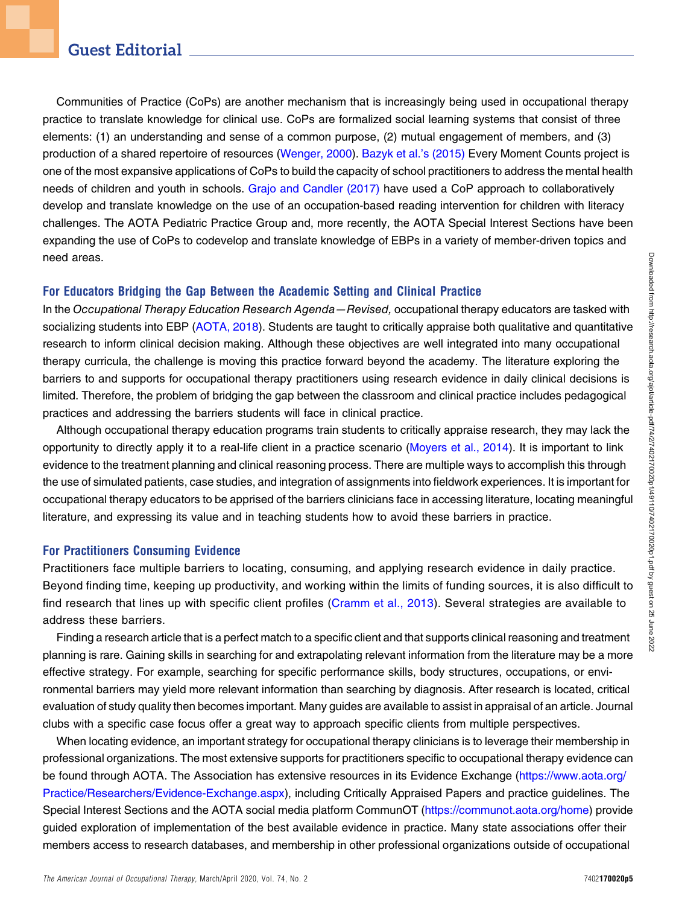Communities of Practice (CoPs) are another mechanism that is increasingly being used in occupational therapy practice to translate knowledge for clinical use. CoPs are formalized social learning systems that consist of three elements: (1) an understanding and sense of a common purpose, (2) mutual engagement of members, and (3) production of a shared repertoire of resources ([Wenger, 2000\)](#page-6-3). [Bazyk et al.](#page-5-19)'s (2015) Every Moment Counts project is one of the most expansive applications of CoPs to build the capacity of school practitioners to address the mental health needs of children and youth in schools. [Grajo and Candler \(2017\)](#page-5-20) have used a CoP approach to collaboratively develop and translate knowledge on the use of an occupation-based reading intervention for children with literacy challenges. The AOTA Pediatric Practice Group and, more recently, the AOTA Special Interest Sections have been expanding the use of CoPs to codevelop and translate knowledge of EBPs in a variety of member-driven topics and need areas.

#### For Educators Bridging the Gap Between the Academic Setting and Clinical Practice

In the Occupational Therapy Education Research Agenda—Revised, occupational therapy educators are tasked with socializing students into EBP [\(AOTA, 2018\)](#page-5-21). Students are taught to critically appraise both qualitative and quantitative research to inform clinical decision making. Although these objectives are well integrated into many occupational therapy curricula, the challenge is moving this practice forward beyond the academy. The literature exploring the barriers to and supports for occupational therapy practitioners using research evidence in daily clinical decisions is limited. Therefore, the problem of bridging the gap between the classroom and clinical practice includes pedagogical practices and addressing the barriers students will face in clinical practice.

Although occupational therapy education programs train students to critically appraise research, they may lack the opportunity to directly apply it to a real-life client in a practice scenario ([Moyers et al., 2014](#page-5-22)). It is important to link evidence to the treatment planning and clinical reasoning process. There are multiple ways to accomplish this through the use of simulated patients, case studies, and integration of assignments into fieldwork experiences. It is important for occupational therapy educators to be apprised of the barriers clinicians face in accessing literature, locating meaningful literature, and expressing its value and in teaching students how to avoid these barriers in practice.

#### For Practitioners Consuming Evidence

Practitioners face multiple barriers to locating, consuming, and applying research evidence in daily practice. Beyond finding time, keeping up productivity, and working within the limits of funding sources, it is also difficult to find research that lines up with specific client profiles ([Cramm et al., 2013](#page-5-10)). Several strategies are available to address these barriers.

Finding a research article that is a perfect match to a specific client and that supports clinical reasoning and treatment planning is rare. Gaining skills in searching for and extrapolating relevant information from the literature may be a more effective strategy. For example, searching for specific performance skills, body structures, occupations, or environmental barriers may yield more relevant information than searching by diagnosis. After research is located, critical evaluation of study quality then becomes important. Many guides are available to assist in appraisal of an article. Journal clubs with a specific case focus offer a great way to approach specific clients from multiple perspectives.

When locating evidence, an important strategy for occupational therapy clinicians is to leverage their membership in professional organizations. The most extensive supports for practitioners specific to occupational therapy evidence can be found through AOTA. The Association has extensive resources in its Evidence Exchange [\(https://www.aota.org/](https://www.aota.org/Practice/Researchers/Evidence-Exchange.aspx) [Practice/Researchers/Evidence-Exchange.aspx](https://www.aota.org/Practice/Researchers/Evidence-Exchange.aspx)), including Critically Appraised Papers and practice guidelines. The Special Interest Sections and the AOTA social media platform CommunOT ([https://communot.aota.org/home\)](https://communot.aota.org/home) provide guided exploration of implementation of the best available evidence in practice. Many state associations offer their members access to research databases, and membership in other professional organizations outside of occupational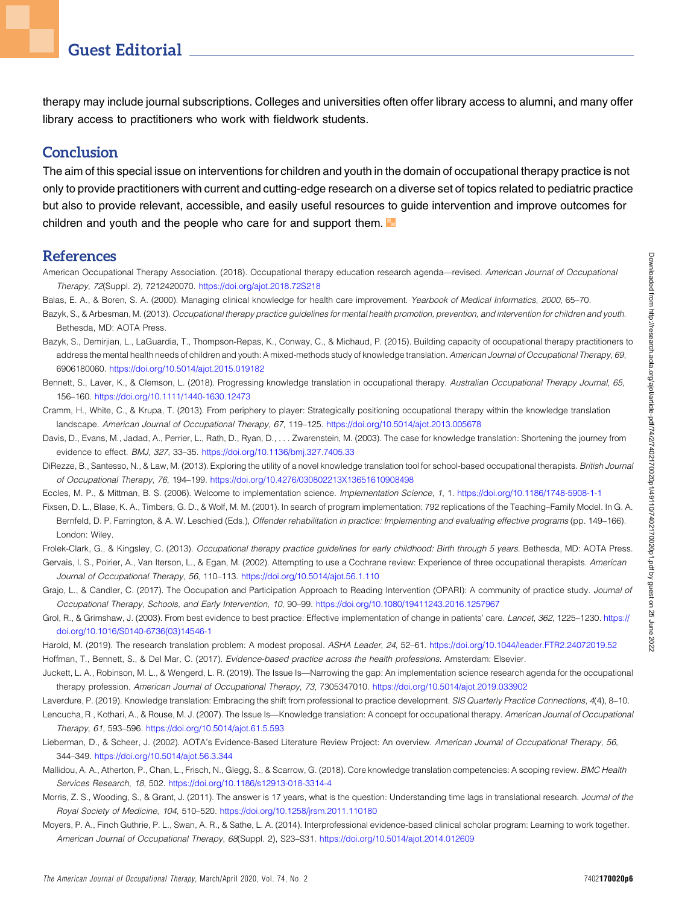therapy may include journal subscriptions. Colleges and universities often offer library access to alumni, and many offer library access to practitioners who work with fieldwork students.

### **Conclusion**

The aim of this special issue on interventions for children and youth in the domain of occupational therapy practice is not only to provide practitioners with current and cutting-edge research on a diverse set of topics related to pediatric practice but also to provide relevant, accessible, and easily useful resources to guide intervention and improve outcomes for children and youth and the people who care for and support them.

#### References

- <span id="page-5-21"></span>American Occupational Therapy Association. (2018). Occupational therapy education research agenda—revised. American Journal of Occupational Therapy, 72(Suppl. 2), 7212420070. <https://doi.org/ajot.2018.72S218>
- <span id="page-5-17"></span>Balas, E. A., & Boren, S. A. (2000). Managing clinical knowledge for health care improvement. Yearbook of Medical Informatics, 2000, 65-70.
- <span id="page-5-1"></span>Bazyk, S., & Arbesman, M. (2013). Occupational therapy practice guidelines for mental health promotion, prevention, and intervention for children and youth. Bethesda, MD: AOTA Press.
- <span id="page-5-19"></span>Bazyk, S., Demirjian, L., LaGuardia, T., Thompson-Repas, K., Conway, C., & Michaud, P. (2015). Building capacity of occupational therapy practitioners to address the mental health needs of children and youth: A mixed-methods study of knowledge translation. American Journal of Occupational Therapy, 69, 6906180060. <https://doi.org/10.5014/ajot.2015.019182>
- <span id="page-5-8"></span>Bennett, S., Laver, K., & Clemson, L. (2018). Progressing knowledge translation in occupational therapy. Australian Occupational Therapy Journal, 65, 156–160. <https://doi.org/10.1111/1440-1630.12473>
- <span id="page-5-10"></span>Cramm, H., White, C., & Krupa, T. (2013). From periphery to player: Strategically positioning occupational therapy within the knowledge translation landscape. American Journal of Occupational Therapy, 67, 119–125. <https://doi.org/10.5014/ajot.2013.005678>
- <span id="page-5-6"></span>Davis, D., Evans, M., Jadad, A., Perrier, L., Rath, D., Ryan, D., . . . Zwarenstein, M. (2003). The case for knowledge translation: Shortening the journey from evidence to effect. BMJ, 327, 33–35. <https://doi.org/10.1136/bmj.327.7405.33>
- <span id="page-5-3"></span>DiRezze, B., Santesso, N., & Law, M. (2013). Exploring the utility of a novel knowledge translation tool for school-based occupational therapists. British Journal of Occupational Therapy, 76, 194–199. <https://doi.org/10.4276/030802213X13651610908498>
- <span id="page-5-15"></span>Eccles, M. P., & Mittman, B. S. (2006). Welcome to implementation science. Implementation Science, 1, 1. <https://doi.org/10.1186/1748-5908-1-1>
- <span id="page-5-18"></span>Fixsen, D. L., Blase, K. A., Timbers, G. D., & Wolf, M. M. (2001). In search of program implementation: 792 replications of the Teaching–Family Model. In G. A. Bernfeld, D. P. Farrington, & A. W. Leschied (Eds.), Offender rehabilitation in practice: Implementing and evaluating effective programs (pp. 149–166). London: Wiley.
- <span id="page-5-0"></span>Frolek-Clark, G., & Kingsley, C. (2013). Occupational therapy practice guidelines for early childhood: Birth through 5 years. Bethesda, MD: AOTA Press.
- <span id="page-5-2"></span>Gervais, I. S., Poirier, A., Van Iterson, L., & Egan, M. (2002). Attempting to use a Cochrane review: Experience of three occupational therapists. American Journal of Occupational Therapy, 56, 110–113. <https://doi.org/10.5014/ajot.56.1.110>
- <span id="page-5-20"></span>Grajo, L., & Candler, C. (2017). The Occupation and Participation Approach to Reading Intervention (OPARI): A community of practice study. Journal of Occupational Therapy, Schools, and Early Intervention, 10, 90–99. <https://doi.org/10.1080/19411243.2016.1257967>
- <span id="page-5-13"></span>Grol, R., & Grimshaw, J. (2003). From best evidence to best practice: Effective implementation of change in patients' care. Lancet, 362, 1225-1230. [https://](https://doi.org/10.1016/S0140-6736(03)14546-1) [doi.org/10.1016/S0140-6736\(03\)14546-1](https://doi.org/10.1016/S0140-6736(03)14546-1)
- <span id="page-5-14"></span><span id="page-5-12"></span>Harold, M. (2019). The research translation problem: A modest proposal. ASHA Leader, 24, 52–61. <https://doi.org/10.1044/leader.FTR2.24072019.52> Hoffman, T., Bennett, S., & Del Mar, C. (2017). Evidence-based practice across the health professions. Amsterdam: Elsevier.
- <span id="page-5-16"></span>Juckett, L. A., Robinson, M. L., & Wengerd, L. R. (2019). The Issue Is—Narrowing the gap: An implementation science research agenda for the occupational therapy profession. American Journal of Occupational Therapy, 73, 7305347010. <https://doi.org/10.5014/ajot.2019.033902>
- <span id="page-5-11"></span><span id="page-5-9"></span>Laverdure, P. (2019). Knowledge translation: Embracing the shift from professional to practice development. SIS Quarterly Practice Connections, 4(4), 8-10.
- Lencucha, R., Kothari, A., & Rouse, M. J. (2007). The Issue Is—Knowledge translation: A concept for occupational therapy. American Journal of Occupational Therapy, 61, 593–596. <https://doi.org/10.5014/ajot.61.5.593>
- <span id="page-5-4"></span>Lieberman, D., & Scheer, J. (2002). AOTA's Evidence-Based Literature Review Project: An overview. American Journal of Occupational Therapy, 56, 344–349. <https://doi.org/10.5014/ajot.56.3.344>
- <span id="page-5-7"></span>Mallidou, A. A., Atherton, P., Chan, L., Frisch, N., Glegg, S., & Scarrow, G. (2018). Core knowledge translation competencies: A scoping review. BMC Health Services Research, 18, 502. <https://doi.org/10.1186/s12913-018-3314-4>
- <span id="page-5-5"></span>Morris, Z. S., Wooding, S., & Grant, J. (2011). The answer is 17 years, what is the question: Understanding time lags in translational research. Journal of the Royal Society of Medicine, 104, 510–520. <https://doi.org/10.1258/jrsm.2011.110180>
- <span id="page-5-22"></span>Moyers, P. A., Finch Guthrie, P. L., Swan, A. R., & Sathe, L. A. (2014). Interprofessional evidence-based clinical scholar program: Learning to work together. American Journal of Occupational Therapy, 68(Suppl. 2), S23–S31. <https://doi.org/10.5014/ajot.2014.012609>